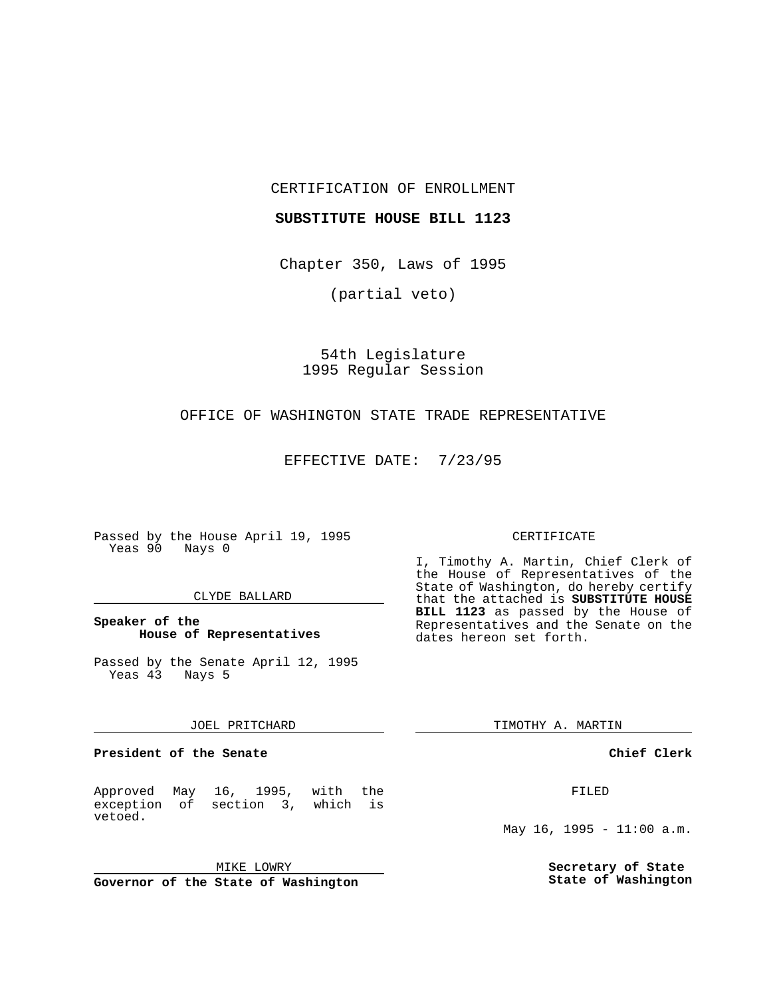CERTIFICATION OF ENROLLMENT

#### **SUBSTITUTE HOUSE BILL 1123**

Chapter 350, Laws of 1995

(partial veto)

54th Legislature 1995 Regular Session

# OFFICE OF WASHINGTON STATE TRADE REPRESENTATIVE

EFFECTIVE DATE: 7/23/95

Passed by the House April 19, 1995 Yeas 90 Nays 0

## CLYDE BALLARD

# **Speaker of the House of Representatives**

Passed by the Senate April 12, 1995 Yeas 43 Nays 5

#### JOEL PRITCHARD

**President of the Senate**

Approved May 16, 1995, with the exception of section 3, which is vetoed.

MIKE LOWRY

**Governor of the State of Washington**

#### CERTIFICATE

I, Timothy A. Martin, Chief Clerk of the House of Representatives of the State of Washington, do hereby certify that the attached is **SUBSTITUTE HOUSE BILL 1123** as passed by the House of Representatives and the Senate on the dates hereon set forth.

TIMOTHY A. MARTIN

## **Chief Clerk**

FILED

May 16, 1995 -  $11:00$  a.m.

**Secretary of State State of Washington**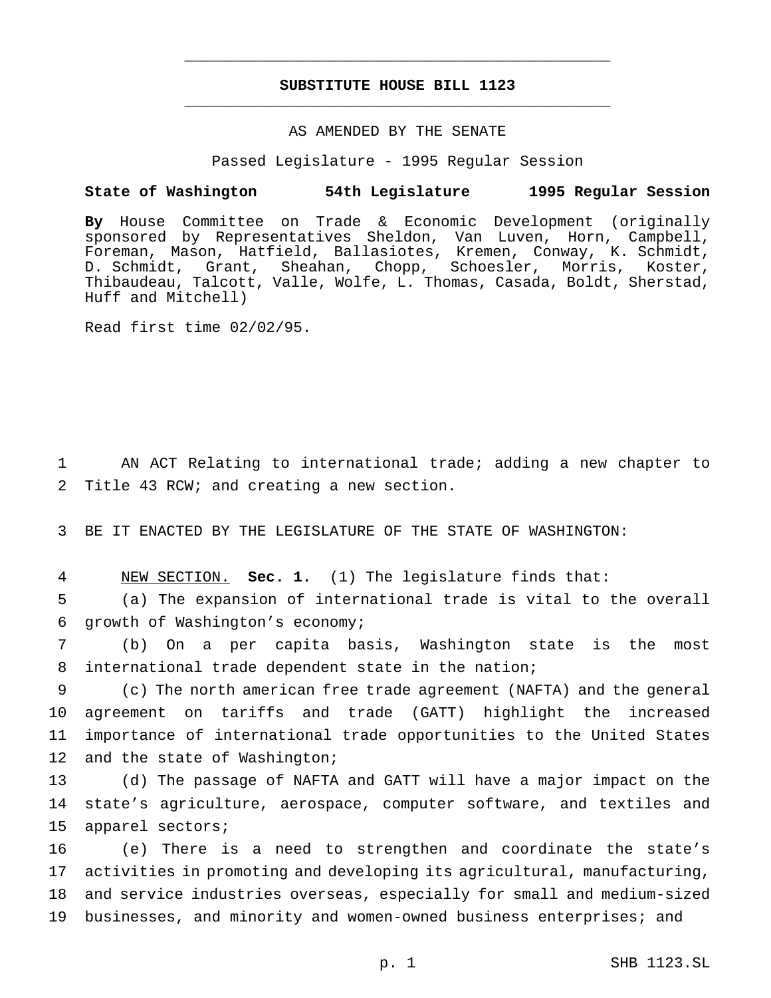# **SUBSTITUTE HOUSE BILL 1123** \_\_\_\_\_\_\_\_\_\_\_\_\_\_\_\_\_\_\_\_\_\_\_\_\_\_\_\_\_\_\_\_\_\_\_\_\_\_\_\_\_\_\_\_\_\_\_

\_\_\_\_\_\_\_\_\_\_\_\_\_\_\_\_\_\_\_\_\_\_\_\_\_\_\_\_\_\_\_\_\_\_\_\_\_\_\_\_\_\_\_\_\_\_\_

# AS AMENDED BY THE SENATE

Passed Legislature - 1995 Regular Session

#### **State of Washington 54th Legislature 1995 Regular Session**

**By** House Committee on Trade & Economic Development (originally sponsored by Representatives Sheldon, Van Luven, Horn, Campbell, Foreman, Mason, Hatfield, Ballasiotes, Kremen, Conway, K. Schmidt, D. Schmidt, Grant, Sheahan, Chopp, Schoesler, Morris, Koster, Thibaudeau, Talcott, Valle, Wolfe, L. Thomas, Casada, Boldt, Sherstad, Huff and Mitchell)

Read first time 02/02/95.

1 AN ACT Relating to international trade; adding a new chapter to 2 Title 43 RCW; and creating a new section.

3 BE IT ENACTED BY THE LEGISLATURE OF THE STATE OF WASHINGTON:

4 NEW SECTION. **Sec. 1.** (1) The legislature finds that:

5 (a) The expansion of international trade is vital to the overall 6 growth of Washington's economy;

7 (b) On a per capita basis, Washington state is the most 8 international trade dependent state in the nation;

 (c) The north american free trade agreement (NAFTA) and the general agreement on tariffs and trade (GATT) highlight the increased importance of international trade opportunities to the United States 12 and the state of Washington;

13 (d) The passage of NAFTA and GATT will have a major impact on the 14 state's agriculture, aerospace, computer software, and textiles and 15 apparel sectors;

 (e) There is a need to strengthen and coordinate the state's activities in promoting and developing its agricultural, manufacturing, and service industries overseas, especially for small and medium-sized businesses, and minority and women-owned business enterprises; and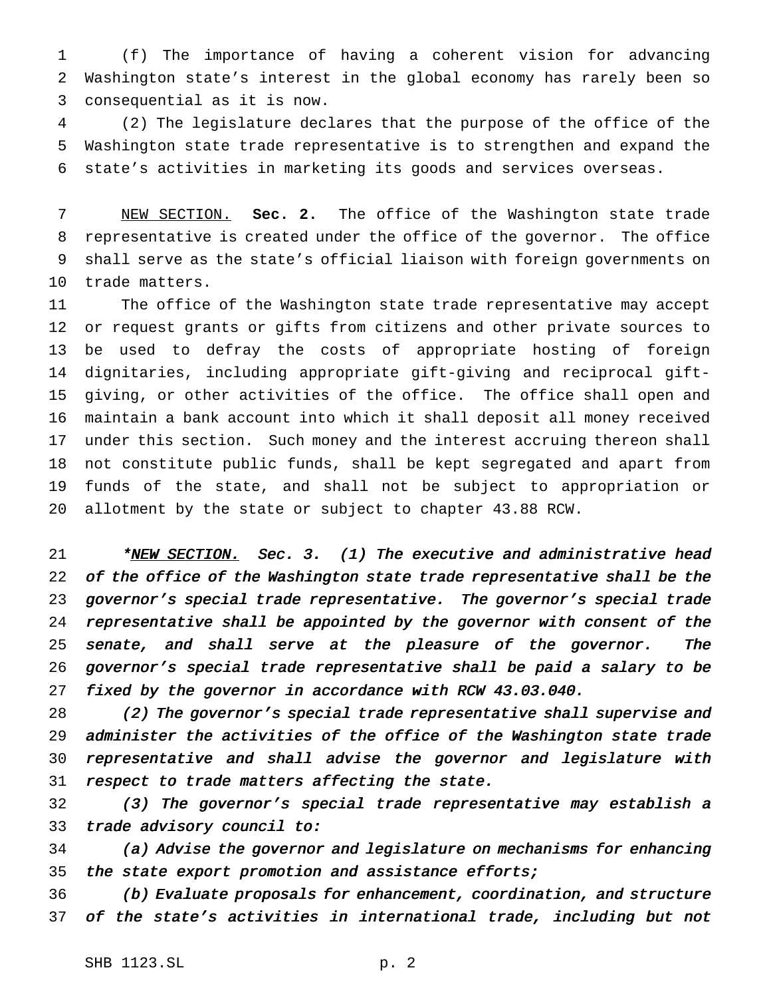(f) The importance of having a coherent vision for advancing Washington state's interest in the global economy has rarely been so consequential as it is now.

 (2) The legislature declares that the purpose of the office of the Washington state trade representative is to strengthen and expand the state's activities in marketing its goods and services overseas.

 NEW SECTION. **Sec. 2.** The office of the Washington state trade representative is created under the office of the governor. The office shall serve as the state's official liaison with foreign governments on trade matters.

 The office of the Washington state trade representative may accept or request grants or gifts from citizens and other private sources to be used to defray the costs of appropriate hosting of foreign dignitaries, including appropriate gift-giving and reciprocal gift- giving, or other activities of the office. The office shall open and maintain a bank account into which it shall deposit all money received under this section. Such money and the interest accruing thereon shall not constitute public funds, shall be kept segregated and apart from funds of the state, and shall not be subject to appropriation or allotment by the state or subject to chapter 43.88 RCW.

21 \*NEW SECTION. Sec. 3. (1) The executive and administrative head 22 of the office of the Washington state trade representative shall be the governor's special trade representative. The governor's special trade representative shall be appointed by the governor with consent of the 25 senate, and shall serve at the pleasure of the governor. The governor's special trade representative shall be paid <sup>a</sup> salary to be fixed by the governor in accordance with RCW 43.03.040.

 (2) The governor's special trade representative shall supervise and administer the activities of the office of the Washington state trade representative and shall advise the governor and legislature with 31 respect to trade matters affecting the state.

 (3) The governor's special trade representative may establish <sup>a</sup> trade advisory council to:

 (a) Advise the governor and legislature on mechanisms for enhancing 35 the state export promotion and assistance efforts;

 (b) Evaluate proposals for enhancement, coordination, and structure of the state's activities in international trade, including but not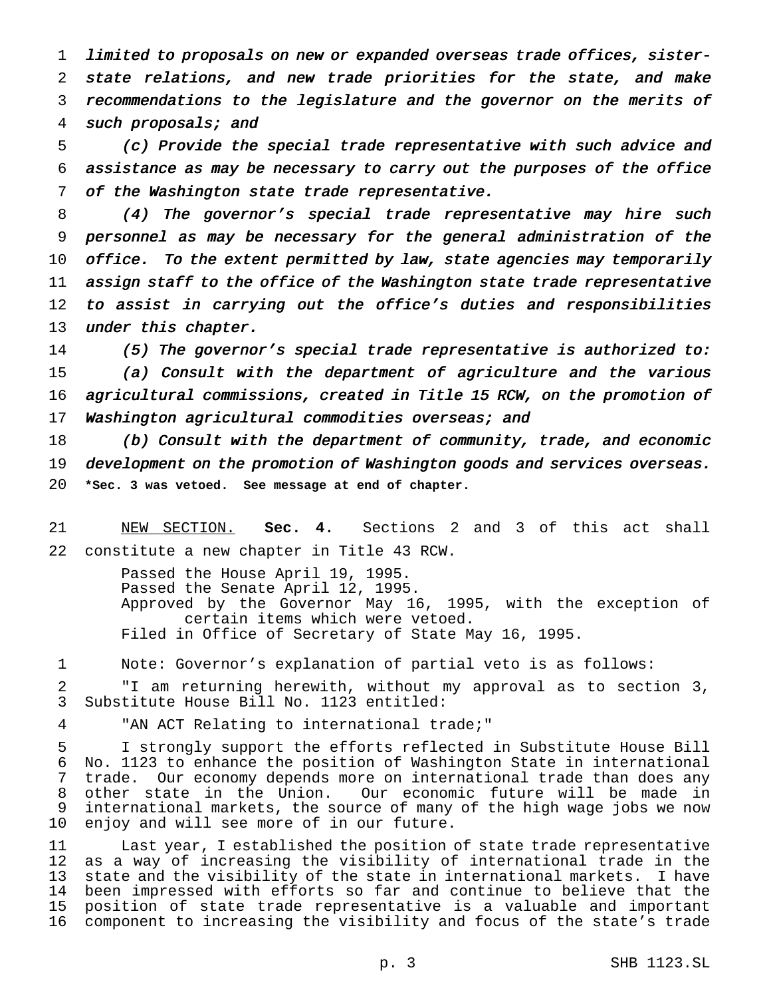limited to proposals on new or expanded overseas trade offices, sister- state relations, and new trade priorities for the state, and make recommendations to the legislature and the governor on the merits of such proposals; and

 (c) Provide the special trade representative with such advice and assistance as may be necessary to carry out the purposes of the office of the Washington state trade representative.

 (4) The governor's special trade representative may hire such personnel as may be necessary for the general administration of the 10 office. To the extent permitted by law, state agencies may temporarily 11 assign staff to the office of the Washington state trade representative to assist in carrying out the office's duties and responsibilities 13 under this chapter.

 (5) The governor's special trade representative is authorized to: (a) Consult with the department of agriculture and the various agricultural commissions, created in Title <sup>15</sup> RCW, on the promotion of 17 Washington agricultural commodities overseas; and

 (b) Consult with the department of community, trade, and economic 19 development on the promotion of Washington goods and services overseas. **\*Sec. 3 was vetoed. See message at end of chapter.**

 NEW SECTION. **Sec. 4.** Sections 2 and 3 of this act shall constitute a new chapter in Title 43 RCW.

> Passed the House April 19, 1995. Passed the Senate April 12, 1995. Approved by the Governor May 16, 1995, with the exception of certain items which were vetoed. Filed in Office of Secretary of State May 16, 1995.

Note: Governor's explanation of partial veto is as follows:

 "I am returning herewith, without my approval as to section 3, Substitute House Bill No. 1123 entitled:

"AN ACT Relating to international trade;"

 I strongly support the efforts reflected in Substitute House Bill No. 1123 to enhance the position of Washington State in international trade. Our economy depends more on international trade than does any other state in the Union. Our economic future will be made in international markets, the source of many of the high wage jobs we now enjoy and will see more of in our future.

 Last year, I established the position of state trade representative as a way of increasing the visibility of international trade in the state and the visibility of the state in international markets. I have been impressed with efforts so far and continue to believe that the position of state trade representative is a valuable and important component to increasing the visibility and focus of the state's trade